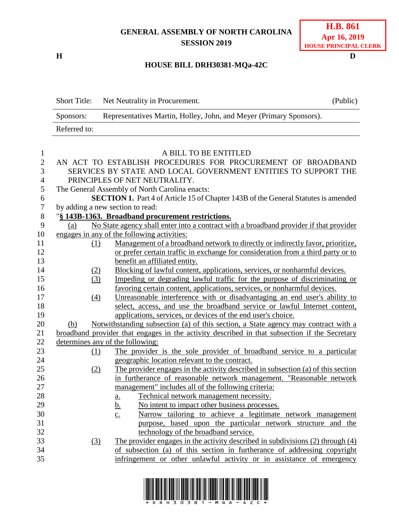## **GENERAL ASSEMBLY OF NORTH CAROLINA SESSION 2019**

**H D**

## **HOUSE BILL DRH30381-MQa-42C**

|                | <b>Short Title:</b>                                                                           | Net Neutrality in Procurement.                                                                                                                                 | (Public) |  |  |
|----------------|-----------------------------------------------------------------------------------------------|----------------------------------------------------------------------------------------------------------------------------------------------------------------|----------|--|--|
|                | Sponsors:                                                                                     | Representatives Martin, Holley, John, and Meyer (Primary Sponsors).                                                                                            |          |  |  |
|                | Referred to:                                                                                  |                                                                                                                                                                |          |  |  |
| $\mathbf{1}$   |                                                                                               | A BILL TO BE ENTITLED                                                                                                                                          |          |  |  |
| $\mathbf{2}$   |                                                                                               | AN ACT TO ESTABLISH PROCEDURES FOR PROCUREMENT OF BROADBAND                                                                                                    |          |  |  |
| 3              |                                                                                               | SERVICES BY STATE AND LOCAL GOVERNMENT ENTITIES TO SUPPORT THE                                                                                                 |          |  |  |
| $\overline{4}$ |                                                                                               | PRINCIPLES OF NET NEUTRALITY.                                                                                                                                  |          |  |  |
| 5              | The General Assembly of North Carolina enacts:                                                |                                                                                                                                                                |          |  |  |
| 6              | <b>SECTION 1.</b> Part 4 of Article 15 of Chapter 143B of the General Statutes is amended     |                                                                                                                                                                |          |  |  |
| 7              |                                                                                               | by adding a new section to read:                                                                                                                               |          |  |  |
| $8\,$          | "§ 143B-1363. Broadband procurement restrictions.                                             |                                                                                                                                                                |          |  |  |
| 9              | No State agency shall enter into a contract with a broadband provider if that provider<br>(a) |                                                                                                                                                                |          |  |  |
| 10             |                                                                                               | engages in any of the following activities:                                                                                                                    |          |  |  |
| 11             | (1)                                                                                           | Management of a broadband network to directly or indirectly favor, prioritize,                                                                                 |          |  |  |
| 12             |                                                                                               | or prefer certain traffic in exchange for consideration from a third party or to                                                                               |          |  |  |
| 13             |                                                                                               | benefit an affiliated entity.                                                                                                                                  |          |  |  |
| 14             | (2)                                                                                           | Blocking of lawful content, applications, services, or nonharmful devices.                                                                                     |          |  |  |
| 15             | (3)                                                                                           | Impeding or degrading lawful traffic for the purpose of discriminating or                                                                                      |          |  |  |
| 16             |                                                                                               | favoring certain content, applications, services, or nonharmful devices.                                                                                       |          |  |  |
| 17             | (4)                                                                                           | Unreasonable interference with or disadvantaging an end user's ability to                                                                                      |          |  |  |
| 18             |                                                                                               | select, access, and use the broadband service or lawful Internet content,                                                                                      |          |  |  |
| 19             |                                                                                               | applications, services, or devices of the end user's choice.                                                                                                   |          |  |  |
| 20             | (b)                                                                                           | Notwithstanding subsection (a) of this section, a State agency may contract with a                                                                             |          |  |  |
| 21             |                                                                                               | broadband provider that engages in the activity described in that subsection if the Secretary                                                                  |          |  |  |
| 22             |                                                                                               | determines any of the following:                                                                                                                               |          |  |  |
| 23             | (1)                                                                                           | The provider is the sole provider of broadband service to a particular                                                                                         |          |  |  |
| 24             |                                                                                               | geographic location relevant to the contract.                                                                                                                  |          |  |  |
| 25             | (2)                                                                                           | The provider engages in the activity described in subsection (a) of this section                                                                               |          |  |  |
| 26             |                                                                                               | in furtherance of reasonable network management. "Reasonable network                                                                                           |          |  |  |
| 27             |                                                                                               | management" includes all of the following criteria:                                                                                                            |          |  |  |
| 28             |                                                                                               | Technical network management necessity.<br>a.                                                                                                                  |          |  |  |
| 29             |                                                                                               | $\frac{b}{c}$<br>No intent to impact other business processes.                                                                                                 |          |  |  |
| 30             |                                                                                               | Narrow tailoring to achieve a legitimate network management                                                                                                    |          |  |  |
| 31             |                                                                                               | purpose, based upon the particular network structure and the                                                                                                   |          |  |  |
| 32             |                                                                                               | technology of the broadband service.                                                                                                                           |          |  |  |
| 33<br>34       | $\left(3\right)$                                                                              | The provider engages in the activity described in subdivisions $(2)$ through $(4)$<br>of subsection (a) of this section in furtherance of addressing copyright |          |  |  |
| 35             |                                                                                               | infringement or other unlawful activity or in assistance of emergency                                                                                          |          |  |  |
|                |                                                                                               |                                                                                                                                                                |          |  |  |